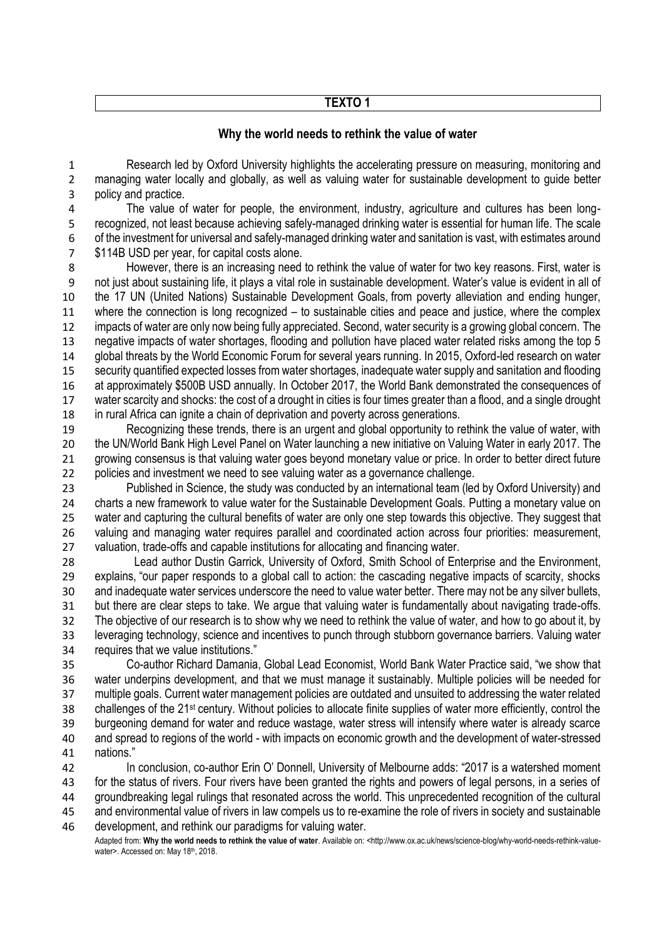## **TEXTO 1**

#### **Why the world needs to rethink the value of water**

 Research led by Oxford University highlights the accelerating pressure on measuring, monitoring and managing water locally and globally, as well as valuing water for sustainable development to guide better policy and practice.

 The value of water for people, the environment, industry, agriculture and cultures has been long- recognized, not least because achieving safely-managed drinking water is essential for human life. The scale of the investment for universal and safely-managed drinking water and sanitation is vast, with estimates around \$114B USD per year, for capital costs alone.

 However, there is an increasing need to rethink the value of water for two key reasons. First, water is not just about sustaining life, it plays a vital role in sustainable development. Water's value is evident in all of the 17 UN (United Nations) Sustainable Development Goals, from poverty alleviation and ending hunger, where the connection is long recognized – to sustainable cities and peace and justice, where the complex impacts of water are only now being fully appreciated. Second, water security is a growing global concern. The negative impacts of water shortages, flooding and pollution have placed water related risks among the top 5 global threats by the World Economic Forum for several years running. In 2015, Oxford-led research on water security quantified expected losses from water shortages, inadequate water supply and sanitation and flooding at approximately \$500B USD annually. In October 2017, the World Bank demonstrated the consequences of water scarcity and shocks: the cost of a drought in cities is four times greater than a flood, and a single drought in rural Africa can ignite a chain of deprivation and poverty across generations.

 Recognizing these trends, there is an urgent and global opportunity to rethink the value of water, with the UN/World Bank High Level Panel on Water launching a new initiative on Valuing Water in early 2017. The 21 growing consensus is that valuing water goes beyond monetary value or price. In order to better direct future policies and investment we need to see valuing water as a governance challenge.

 Published in Science, the study was conducted by an international team (led by Oxford University) and charts a new framework to value water for the Sustainable Development Goals. Putting a monetary value on 25 water and capturing the cultural benefits of water are only one step towards this objective. They suggest that valuing and managing water requires parallel and coordinated action across four priorities: measurement, valuation, trade-offs and capable institutions for allocating and financing water.

 Lead author Dustin Garrick, University of Oxford, Smith School of Enterprise and the Environment, explains, "our paper responds to a global call to action: the cascading negative impacts of scarcity, shocks and inadequate water services underscore the need to value water better. There may not be any silver bullets, but there are clear steps to take. We argue that valuing water is fundamentally about navigating trade-offs. The objective of our research is to show why we need to rethink the value of water, and how to go about it, by leveraging technology, science and incentives to punch through stubborn governance barriers. Valuing water requires that we value institutions."

 Co-author Richard Damania, Global Lead Economist, World Bank Water Practice said, "we show that water underpins development, and that we must manage it sustainably. Multiple policies will be needed for multiple goals. Current water management policies are outdated and unsuited to addressing the water related 38 challenges of the 21<sup>st</sup> century. Without policies to allocate finite supplies of water more efficiently, control the burgeoning demand for water and reduce wastage, water stress will intensify where water is already scarce and spread to regions of the world - with impacts on economic growth and the development of water-stressed nations."

 In conclusion, co-author Erin O' Donnell, University of Melbourne adds: "2017 is a watershed moment for the status of rivers. Four rivers have been granted the rights and powers of legal persons, in a series of groundbreaking legal rulings that resonated across the world. This unprecedented recognition of the cultural and environmental value of rivers in law compels us to re-examine the role of rivers in society and sustainable development, and rethink our paradigms for valuing water.

Adapted from: **Why the world needs to rethink the value of water**. Available on: <http://www.ox.ac.uk/news/science-blog/why-world-needs-rethink-valuewater>. Accessed on: May 18<sup>th</sup>, 2018.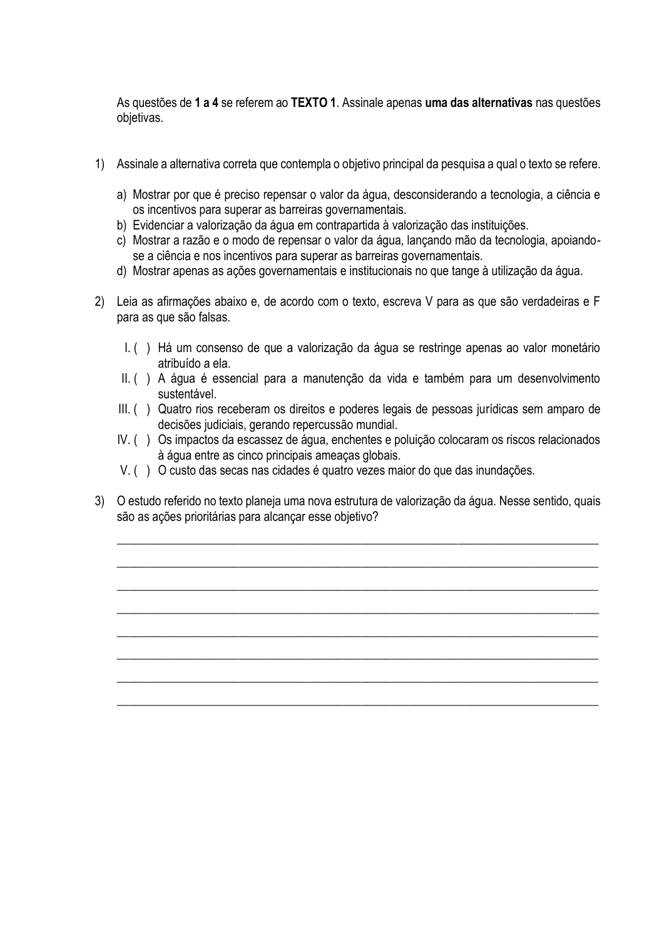As questões de **1 a 4** se referem ao **TEXTO 1**. Assinale apenas **uma das alternativas** nas questões objetivas.

- 1) Assinale a alternativa correta que contempla o objetivo principal da pesquisa a qual o texto se refere.
	- a) Mostrar por que é preciso repensar o valor da água, desconsiderando a tecnologia, a ciência e os incentivos para superar as barreiras governamentais.
	- b) Evidenciar a valorização da água em contrapartida à valorização das instituições.
	- c) Mostrar a razão e o modo de repensar o valor da água, lançando mão da tecnologia, apoiandose a ciência e nos incentivos para superar as barreiras governamentais.
	- d) Mostrar apenas as ações governamentais e institucionais no que tange à utilização da água.
- 2) Leia as afirmações abaixo e, de acordo com o texto, escreva V para as que são verdadeiras e F para as que são falsas.
	- I. ( ) Há um consenso de que a valorização da água se restringe apenas ao valor monetário atribuído a ela.
	- II. ( ) A água é essencial para a manutenção da vida e também para um desenvolvimento sustentável.
	- III. ( ) Quatro rios receberam os direitos e poderes legais de pessoas jurídicas sem amparo de decisões judiciais, gerando repercussão mundial.
	- IV. ( ) Os impactos da escassez de água, enchentes e poluição colocaram os riscos relacionados à água entre as cinco principais ameaças globais.
	- V. ( ) O custo das secas nas cidades é quatro vezes maior do que das inundações.
- 3) O estudo referido no texto planeja uma nova estrutura de valorização da água. Nesse sentido, quais são as ações prioritárias para alcançar esse objetivo?

\_\_\_\_\_\_\_\_\_\_\_\_\_\_\_\_\_\_\_\_\_\_\_\_\_\_\_\_\_\_\_\_\_\_\_\_\_\_\_\_\_\_\_\_\_\_\_\_\_\_\_\_\_\_\_\_\_\_\_\_\_\_\_\_\_\_\_\_\_\_\_\_\_\_\_\_\_\_\_

\_\_\_\_\_\_\_\_\_\_\_\_\_\_\_\_\_\_\_\_\_\_\_\_\_\_\_\_\_\_\_\_\_\_\_\_\_\_\_\_\_\_\_\_\_\_\_\_\_\_\_\_\_\_\_\_\_\_\_\_\_\_\_\_\_\_\_\_\_\_\_\_\_\_\_\_\_\_\_

\_\_\_\_\_\_\_\_\_\_\_\_\_\_\_\_\_\_\_\_\_\_\_\_\_\_\_\_\_\_\_\_\_\_\_\_\_\_\_\_\_\_\_\_\_\_\_\_\_\_\_\_\_\_\_\_\_\_\_\_\_\_\_\_\_\_\_\_\_\_\_\_\_\_\_\_\_\_\_

\_\_\_\_\_\_\_\_\_\_\_\_\_\_\_\_\_\_\_\_\_\_\_\_\_\_\_\_\_\_\_\_\_\_\_\_\_\_\_\_\_\_\_\_\_\_\_\_\_\_\_\_\_\_\_\_\_\_\_\_\_\_\_\_\_\_\_\_\_\_\_\_\_\_\_\_\_\_\_

\_\_\_\_\_\_\_\_\_\_\_\_\_\_\_\_\_\_\_\_\_\_\_\_\_\_\_\_\_\_\_\_\_\_\_\_\_\_\_\_\_\_\_\_\_\_\_\_\_\_\_\_\_\_\_\_\_\_\_\_\_\_\_\_\_\_\_\_\_\_\_\_\_\_\_\_\_\_\_

\_\_\_\_\_\_\_\_\_\_\_\_\_\_\_\_\_\_\_\_\_\_\_\_\_\_\_\_\_\_\_\_\_\_\_\_\_\_\_\_\_\_\_\_\_\_\_\_\_\_\_\_\_\_\_\_\_\_\_\_\_\_\_\_\_\_\_\_\_\_\_\_\_\_\_\_\_\_\_

 $\_$  , and the set of the set of the set of the set of the set of the set of the set of the set of the set of the set of the set of the set of the set of the set of the set of the set of the set of the set of the set of th

\_\_\_\_\_\_\_\_\_\_\_\_\_\_\_\_\_\_\_\_\_\_\_\_\_\_\_\_\_\_\_\_\_\_\_\_\_\_\_\_\_\_\_\_\_\_\_\_\_\_\_\_\_\_\_\_\_\_\_\_\_\_\_\_\_\_\_\_\_\_\_\_\_\_\_\_\_\_\_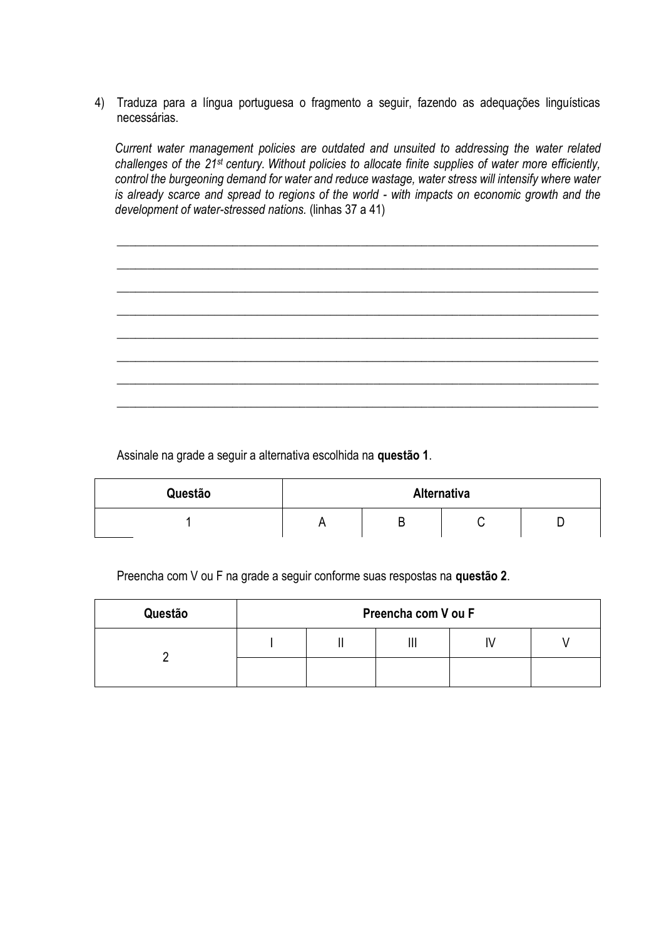4) Traduza para a língua portuguesa o fragmento a seguir, fazendo as adequações linguísticas necessárias.

*Current water management policies are outdated and unsuited to addressing the water related challenges of the 21st century. Without policies to allocate finite supplies of water more efficiently, control the burgeoning demand for water and reduce wastage, water stress will intensify where water is already scarce and spread to regions of the world - with impacts on economic growth and the development of water-stressed nations.* (linhas 37 a 41)

 $\_$  , and the set of the set of the set of the set of the set of the set of the set of the set of the set of the set of the set of the set of the set of the set of the set of the set of the set of the set of the set of th

\_\_\_\_\_\_\_\_\_\_\_\_\_\_\_\_\_\_\_\_\_\_\_\_\_\_\_\_\_\_\_\_\_\_\_\_\_\_\_\_\_\_\_\_\_\_\_\_\_\_\_\_\_\_\_\_\_\_\_\_\_\_\_\_\_\_\_\_\_\_\_\_\_\_\_\_\_\_\_

\_\_\_\_\_\_\_\_\_\_\_\_\_\_\_\_\_\_\_\_\_\_\_\_\_\_\_\_\_\_\_\_\_\_\_\_\_\_\_\_\_\_\_\_\_\_\_\_\_\_\_\_\_\_\_\_\_\_\_\_\_\_\_\_\_\_\_\_\_\_\_\_\_\_\_\_\_\_\_

\_\_\_\_\_\_\_\_\_\_\_\_\_\_\_\_\_\_\_\_\_\_\_\_\_\_\_\_\_\_\_\_\_\_\_\_\_\_\_\_\_\_\_\_\_\_\_\_\_\_\_\_\_\_\_\_\_\_\_\_\_\_\_\_\_\_\_\_\_\_\_\_\_\_\_\_\_\_\_

\_\_\_\_\_\_\_\_\_\_\_\_\_\_\_\_\_\_\_\_\_\_\_\_\_\_\_\_\_\_\_\_\_\_\_\_\_\_\_\_\_\_\_\_\_\_\_\_\_\_\_\_\_\_\_\_\_\_\_\_\_\_\_\_\_\_\_\_\_\_\_\_\_\_\_\_\_\_\_

 $\_$  , and the set of the set of the set of the set of the set of the set of the set of the set of the set of the set of the set of the set of the set of the set of the set of the set of the set of the set of the set of th

\_\_\_\_\_\_\_\_\_\_\_\_\_\_\_\_\_\_\_\_\_\_\_\_\_\_\_\_\_\_\_\_\_\_\_\_\_\_\_\_\_\_\_\_\_\_\_\_\_\_\_\_\_\_\_\_\_\_\_\_\_\_\_\_\_\_\_\_\_\_\_\_\_\_\_\_\_\_\_

 $\_$  , and the set of the set of the set of the set of the set of the set of the set of the set of the set of the set of the set of the set of the set of the set of the set of the set of the set of the set of the set of th

Assinale na grade a seguir a alternativa escolhida na **questão 1**.

| Questão | Alternativa |   |  |   |  |
|---------|-------------|---|--|---|--|
|         |             | – |  | - |  |

Preencha com V ou F na grade a seguir conforme suas respostas na **questão 2**.

| Questão | Preencha com V ou F |  |   |  |  |
|---------|---------------------|--|---|--|--|
|         |                     |  | ш |  |  |
|         |                     |  |   |  |  |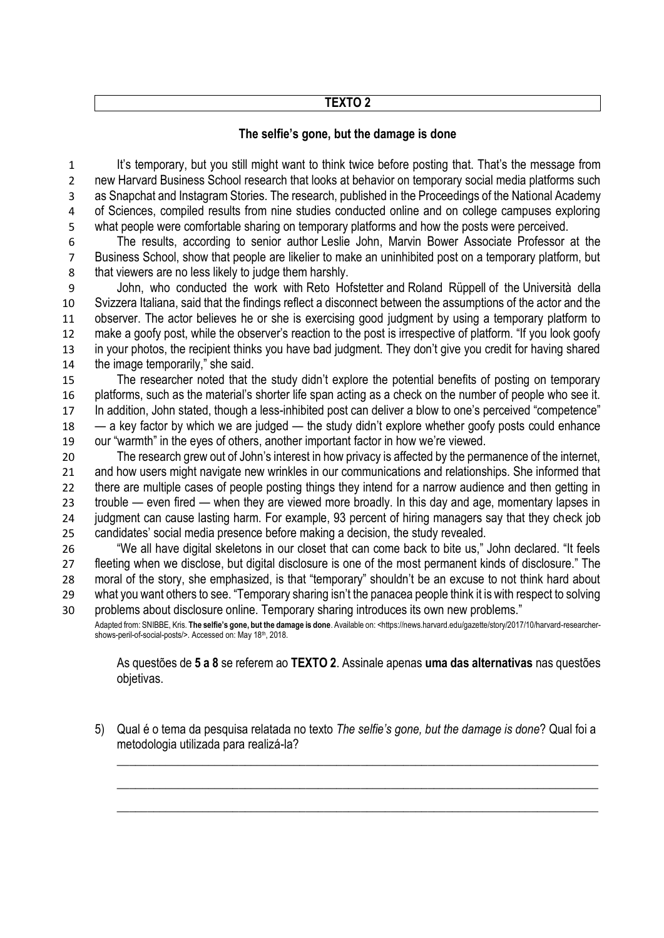# **TEXTO 2**

# **The selfie's gone, but the damage is done**

 It's temporary, but you still might want to think twice before posting that. That's the message from new [Harvard Business School](http://www.hbs.edu/) research that looks at behavior on temporary social media platforms such as Snapchat and Instagram Stories. The research, published in the Proceedings of the National Academy of Sciences, compiled results from nine studies conducted online and on college campuses exploring what people were comfortable sharing on temporary platforms and how the posts were perceived.

 The results, according to senior author [Leslie John,](http://www.hbs.edu/faculty/Pages/profile.aspx?facId=589473) Marvin Bower Associate Professor at the Business School, show that people are likelier to make an uninhibited post on a temporary platform, but that viewers are no less likely to judge them harshly.

 John, who conducted the work with [Reto Hofstetter](https://search.usi.ch/en/people/8d2cf4ec5d36ca35730c8b34590c8b42/hofstetter-reto) and [Roland Rüppell](https://search.usi.ch/en/people/0da7eea9d3274e45f0558c558ebe9413/rueppell-roland) of the [Università della](https://www.usi.ch/en)  [Svizzera Italiana,](https://www.usi.ch/en) said that the findings reflect a disconnect between the assumptions of the actor and the observer. The actor believes he or she is exercising good judgment by using a temporary platform to make a goofy post, while the observer's reaction to the post is irrespective of platform. "If you look goofy in your photos, the recipient thinks you have bad judgment. They don't give you credit for having shared the image temporarily," she said.

 The researcher noted that the study didn't explore the potential benefits of posting on temporary platforms, such as the material's shorter life span acting as a check on the number of people who see it. In addition, John stated, though a less-inhibited post can deliver a blow to one's perceived "competence" — a key factor by which we are judged — the study didn't explore whether goofy posts could enhance our "warmth" in the eyes of others, another important factor in how we're viewed.

 The research grew out of John's interest in how privacy is affected by the permanence of the internet, and how users might navigate new wrinkles in our communications and relationships. She informed that 22 there are multiple cases of people posting things they intend for a narrow audience and then getting in trouble — even fired — when they are viewed more broadly. In this day and age, momentary lapses in judgment can cause lasting harm. For example, 93 percent of hiring managers say that they check job candidates' social media presence before making a decision, the study revealed.

 "We all have digital skeletons in our closet that can come back to bite us," John declared. "It feels fleeting when we disclose, but digital disclosure is one of the most permanent kinds of disclosure." The moral of the story, she emphasized, is that "temporary" shouldn't be an excuse to not think hard about what you want others to see. "Temporary sharing isn't the panacea people think it is with respect to solving problems about disclosure online. Temporary sharing introduces its own new problems."

Adapted from: SNIBBE, Kris. The selfie's gone, but the damage is done. Available on: <https://news.harvard.dedu/gazette/story/2017/10/harvard-researchershows-peril-of-social-posts/>. Accessed on: May 18th, 2018.

As questões de **5 a 8** se referem ao **TEXTO 2**. Assinale apenas **uma das alternativas** nas questões objetivas.

5) Qual é o tema da pesquisa relatada no texto *The selfie's gone, but the damage is done*? Qual foi a metodologia utilizada para realizá-la?

\_\_\_\_\_\_\_\_\_\_\_\_\_\_\_\_\_\_\_\_\_\_\_\_\_\_\_\_\_\_\_\_\_\_\_\_\_\_\_\_\_\_\_\_\_\_\_\_\_\_\_\_\_\_\_\_\_\_\_\_\_\_\_\_\_\_\_\_\_\_\_\_\_\_\_\_\_\_\_

\_\_\_\_\_\_\_\_\_\_\_\_\_\_\_\_\_\_\_\_\_\_\_\_\_\_\_\_\_\_\_\_\_\_\_\_\_\_\_\_\_\_\_\_\_\_\_\_\_\_\_\_\_\_\_\_\_\_\_\_\_\_\_\_\_\_\_\_\_\_\_\_\_\_\_\_\_\_\_

 $\_$  , and the set of the set of the set of the set of the set of the set of the set of the set of the set of the set of the set of the set of the set of the set of the set of the set of the set of the set of the set of th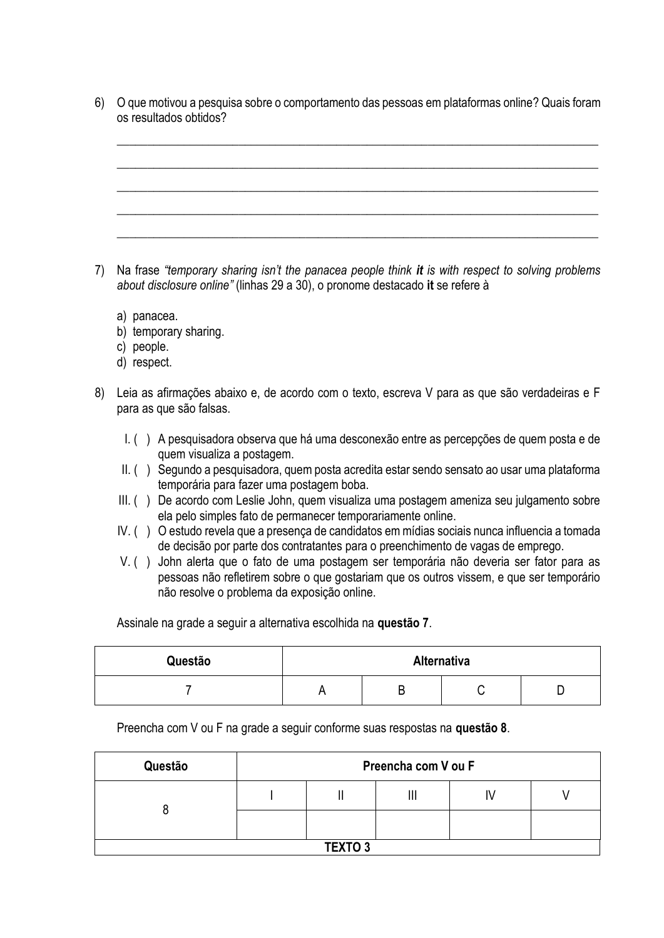6) O que motivou a pesquisa sobre o comportamento das pessoas em plataformas online? Quais foram os resultados obtidos?

 $\_$  , and the set of the set of the set of the set of the set of the set of the set of the set of the set of the set of the set of the set of the set of the set of the set of the set of the set of the set of the set of th

 $\_$  , and the set of the set of the set of the set of the set of the set of the set of the set of the set of the set of the set of the set of the set of the set of the set of the set of the set of the set of the set of th

 $\_$  , and the set of the set of the set of the set of the set of the set of the set of the set of the set of the set of the set of the set of the set of the set of the set of the set of the set of the set of the set of th

\_\_\_\_\_\_\_\_\_\_\_\_\_\_\_\_\_\_\_\_\_\_\_\_\_\_\_\_\_\_\_\_\_\_\_\_\_\_\_\_\_\_\_\_\_\_\_\_\_\_\_\_\_\_\_\_\_\_\_\_\_\_\_\_\_\_\_\_\_\_\_\_\_\_\_\_\_\_\_

\_\_\_\_\_\_\_\_\_\_\_\_\_\_\_\_\_\_\_\_\_\_\_\_\_\_\_\_\_\_\_\_\_\_\_\_\_\_\_\_\_\_\_\_\_\_\_\_\_\_\_\_\_\_\_\_\_\_\_\_\_\_\_\_\_\_\_\_\_\_\_\_\_\_\_\_\_\_\_

- 7) Na frase *"temporary sharing isn't the panacea people think it is with respect to solving problems about disclosure online"* (linhas 29 a 30), o pronome destacado **it** se refere à
	- a) panacea.
	- b) temporary sharing.
	- c) people.
	- d) respect.
- 8) Leia as afirmações abaixo e, de acordo com o texto, escreva V para as que são verdadeiras e F para as que são falsas.
	- I. ( ) A pesquisadora observa que há uma desconexão entre as percepções de quem posta e de quem visualiza a postagem.
	- II. ( ) Segundo a pesquisadora, quem posta acredita estar sendo sensato ao usar uma plataforma temporária para fazer uma postagem boba.
	- III. ( ) De acordo com Leslie John, quem visualiza uma postagem ameniza seu julgamento sobre ela pelo simples fato de permanecer temporariamente online.
	- IV. ( ) O estudo revela que a presença de candidatos em mídias sociais nunca influencia a tomada de decisão por parte dos contratantes para o preenchimento de vagas de emprego.
	- V. ( ) John alerta que o fato de uma postagem ser temporária não deveria ser fator para as pessoas não refletirem sobre o que gostariam que os outros vissem, e que ser temporário não resolve o problema da exposição online.

Assinale na grade a seguir a alternativa escolhida na **questão 7**.

| Questão | Alternativa |  |  |  |  |
|---------|-------------|--|--|--|--|
|         |             |  |  |  |  |

Preencha com V ou F na grade a seguir conforme suas respostas na **questão 8**.

| Questão        | Preencha com V ou F |  |   |    |  |
|----------------|---------------------|--|---|----|--|
|                |                     |  | Ш | I٧ |  |
|                |                     |  |   |    |  |
| <b>TEXTO 3</b> |                     |  |   |    |  |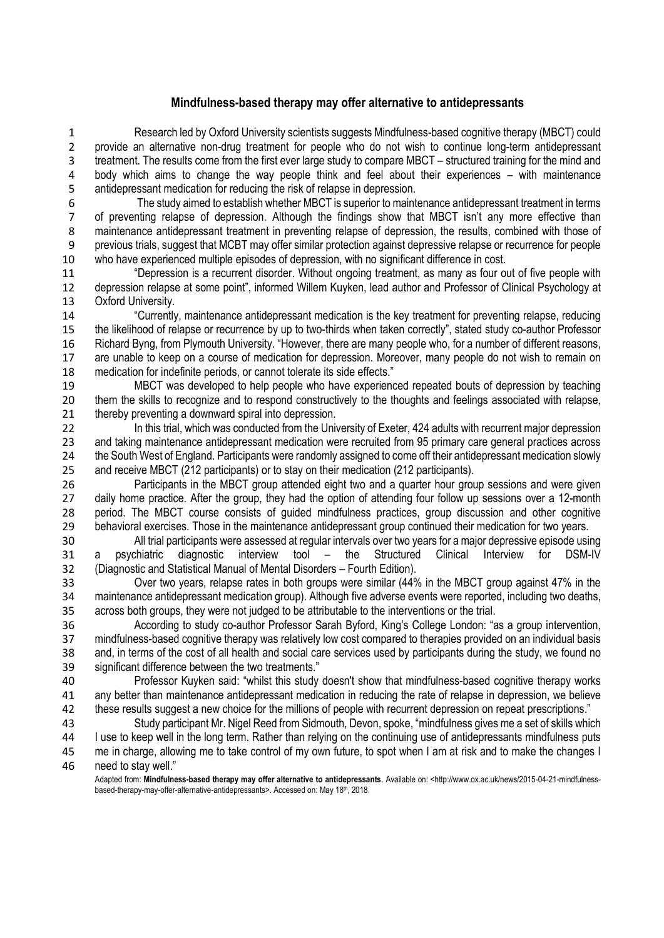## **Mindfulness-based therapy may offer alternative to antidepressants**

 Research led by Oxford University scientists suggests Mindfulness-based cognitive therapy (MBCT) could provide an alternative non-drug treatment for people who do not wish to continue long-term antidepressant treatment. The results come from the first ever large study to compare MBCT – structured training for the mind and 4 body which aims to change the way people think and feel about their experiences – with maintenance<br>5 antidepressant medication for reducing the risk of relapse in depression. antidepressant medication for reducing the risk of relapse in depression.

- The study aimed to establish whether MBCT is superior to maintenance antidepressant treatment in terms of preventing relapse of depression. Although the findings show that MBCT isn't any more effective than maintenance antidepressant treatment in preventing relapse of depression, the results, combined with those of previous trials, suggest that MCBT may offer similar protection against depressive relapse or recurrence for people 10 who have experienced multiple episodes of depression, with no significant difference in cost.<br>11 "Depression is a recurrent disorder. Without ongoing treatment, as many as four o
- "Depression is a recurrent disorder. Without ongoing treatment, as many as four out of five people with depression relapse at some point", informed Willem Kuyken, lead author and Professor of Clinical Psychology at Oxford University.

 "Currently, maintenance antidepressant medication is the key treatment for preventing relapse, reducing the likelihood of relapse or recurrence by up to two-thirds when taken correctly", stated study co-author Professor Richard Byng, from Plymouth University. "However, there are many people who, for a number of different reasons, are unable to keep on a course of medication for depression. Moreover, many people do not wish to remain on medication for indefinite periods, or cannot tolerate its side effects."

 MBCT was developed to help people who have experienced repeated bouts of depression by teaching 20 them the skills to recognize and to respond constructively to the thoughts and feelings associated with relapse, 21 thereby preventing a downward spiral into depression.

22 In this trial, which was conducted from the University of Exeter, 424 adults with recurrent major depression and taking maintenance antidepressant medication were recruited from 95 primary care general practices across the South West of England. Participants were randomly assigned to come off their antidepressant medication slowly and receive MBCT (212 participants) or to stay on their medication (212 participants).

 Participants in the MBCT group attended eight two and a quarter hour group sessions and were given 27 daily home practice. After the group, they had the option of attending four follow up sessions over a 12-month period. The MBCT course consists of guided mindfulness practices, group discussion and other cognitive behavioral exercises. Those in the maintenance antidepressant group continued their medication for two years.

 All trial participants were assessed at regular intervals over two years for a major depressive episode using a psychiatric diagnostic interview tool – the Structured Clinical Interview for DSM-IV (Diagnostic and Statistical Manual of Mental Disorders – Fourth Edition).

 Over two years, relapse rates in both groups were similar (44% in the MBCT group against 47% in the maintenance antidepressant medication group). Although five adverse events were reported, including two deaths, across both groups, they were not judged to be attributable to the interventions or the trial.

 According to study co-author Professor Sarah Byford, King's College London: "as a group intervention, mindfulness-based cognitive therapy was relatively low cost compared to therapies provided on an individual basis and, in terms of the cost of all health and social care services used by participants during the study, we found no significant difference between the two treatments."

 Professor Kuyken said: "whilst this study doesn't show that mindfulness-based cognitive therapy works any better than maintenance antidepressant medication in reducing the rate of relapse in depression, we believe these results suggest a new choice for the millions of people with recurrent depression on repeat prescriptions."

 Study participant Mr. Nigel Reed from Sidmouth, Devon, spoke, "mindfulness gives me a set of skills which I use to keep well in the long term. Rather than relying on the continuing use of antidepressants mindfulness puts me in charge, allowing me to take control of my own future, to spot when I am at risk and to make the changes I need to stay well."

Adapted from: **Mindfulness-based therapy may offer alternative to antidepressants**. Available on: <http://www.ox.ac.uk/news/2015-04-21-mindfulnessbased-therapy-may-offer-alternative-antidepressants>. Accessed on: May 18<sup>th</sup>, 2018.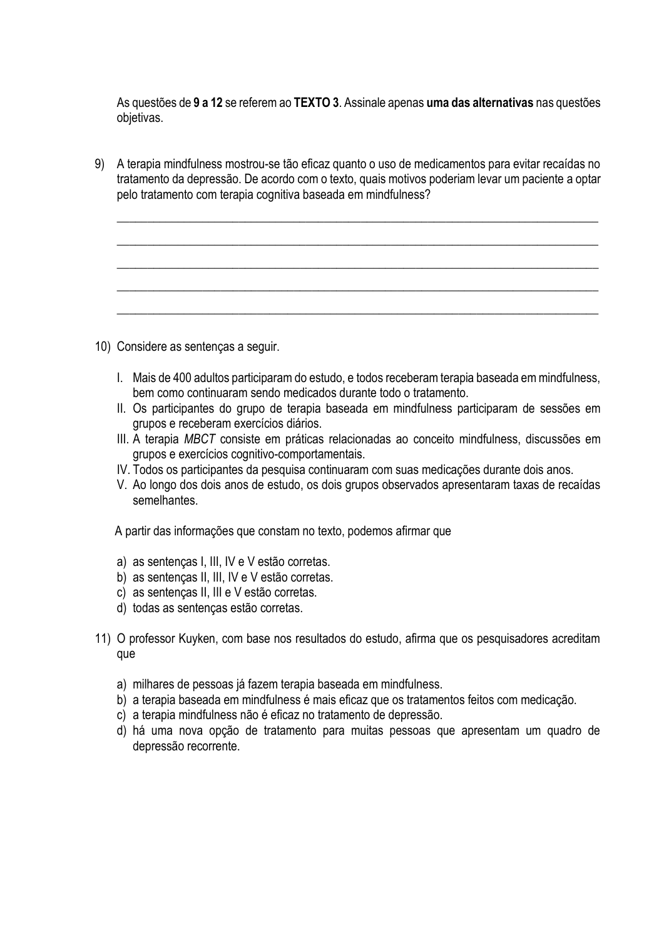As questões de **9 a 12** se referem ao **TEXTO 3**. Assinale apenas **uma das alternativas** nas questões objetivas.

9) A terapia mindfulness mostrou-se tão eficaz quanto o uso de medicamentos para evitar recaídas no tratamento da depressão. De acordo com o texto, quais motivos poderiam levar um paciente a optar pelo tratamento com terapia cognitiva baseada em mindfulness?

 $\_$  , and the set of the set of the set of the set of the set of the set of the set of the set of the set of the set of the set of the set of the set of the set of the set of the set of the set of the set of the set of th

 $\_$  , and the set of the set of the set of the set of the set of the set of the set of the set of the set of the set of the set of the set of the set of the set of the set of the set of the set of the set of the set of th

\_\_\_\_\_\_\_\_\_\_\_\_\_\_\_\_\_\_\_\_\_\_\_\_\_\_\_\_\_\_\_\_\_\_\_\_\_\_\_\_\_\_\_\_\_\_\_\_\_\_\_\_\_\_\_\_\_\_\_\_\_\_\_\_\_\_\_\_\_\_\_\_\_\_\_\_\_\_\_

 $\_$  , and the set of the set of the set of the set of the set of the set of the set of the set of the set of the set of the set of the set of the set of the set of the set of the set of the set of the set of the set of th

\_\_\_\_\_\_\_\_\_\_\_\_\_\_\_\_\_\_\_\_\_\_\_\_\_\_\_\_\_\_\_\_\_\_\_\_\_\_\_\_\_\_\_\_\_\_\_\_\_\_\_\_\_\_\_\_\_\_\_\_\_\_\_\_\_\_\_\_\_\_\_\_\_\_\_\_\_\_\_

- 10) Considere as sentenças a seguir.
	- I. Mais de 400 adultos participaram do estudo, e todos receberam terapia baseada em mindfulness, bem como continuaram sendo medicados durante todo o tratamento.
	- II. Os participantes do grupo de terapia baseada em mindfulness participaram de sessões em grupos e receberam exercícios diários.
	- III. A terapia *MBCT* consiste em práticas relacionadas ao conceito mindfulness, discussões em grupos e exercícios cognitivo-comportamentais.
	- IV. Todos os participantes da pesquisa continuaram com suas medicações durante dois anos.
	- V. Ao longo dos dois anos de estudo, os dois grupos observados apresentaram taxas de recaídas semelhantes.

A partir das informações que constam no texto, podemos afirmar que

- a) as sentenças I, III, IV e V estão corretas.
- b) as sentenças II, III, IV e V estão corretas.
- c) as sentenças II, III e V estão corretas.
- d) todas as sentenças estão corretas.
- 11) O professor Kuyken, com base nos resultados do estudo, afirma que os pesquisadores acreditam que
	- a) milhares de pessoas já fazem terapia baseada em mindfulness.
	- b) a terapia baseada em mindfulness é mais eficaz que os tratamentos feitos com medicação.
	- c) a terapia mindfulness não é eficaz no tratamento de depressão.
	- d) há uma nova opção de tratamento para muitas pessoas que apresentam um quadro de depressão recorrente.